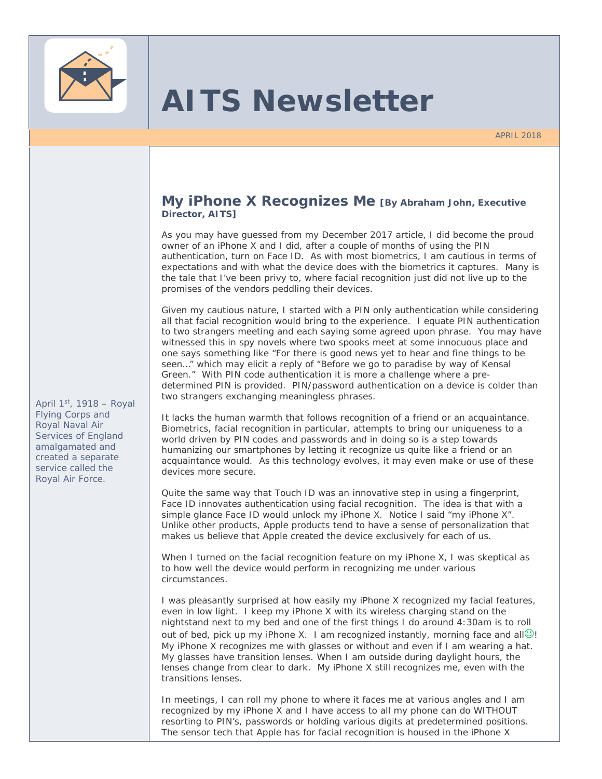

# **AITS Newsletter**

APRIL 2018

#### **My iPhone X Recognizes Me [By Abraham John, Executive Director, AITS]**

As you may have guessed from my December 2017 article, I did become the proud owner of an iPhone X and I did, after a couple of months of using the PIN authentication, turn on Face ID. As with most biometrics, I am cautious in terms of expectations and with what the device does with the biometrics it captures. Many is the tale that I've been privy to, where facial recognition just did not live up to the promises of the vendors peddling their devices.

Given my cautious nature, I started with a PIN only authentication while considering all that facial recognition would bring to the experience. I equate PIN authentication to two strangers meeting and each saying some agreed upon phrase. You may have witnessed this in spy novels where two spooks meet at some innocuous place and one says something like "For there is good news yet to hear and fine things to be seen…" which may elicit a reply of "Before we go to paradise by way of Kensal Green." With PIN code authentication it is more a challenge where a predetermined PIN is provided. PIN/password authentication on a device is colder than two strangers exchanging meaningless phrases.

It lacks the human warmth that follows recognition of a friend or an acquaintance. Biometrics, facial recognition in particular, attempts to bring our uniqueness to a world driven by PIN codes and passwords and in doing so is a step towards humanizing our smartphones by letting it recognize us quite like a friend or an acquaintance would. As this technology evolves, it may even make or use of these devices more secure.

Quite the same way that Touch ID was an innovative step in using a fingerprint, Face ID innovates authentication using facial recognition. The idea is that with a simple glance Face ID would unlock my iPhone X. Notice I said "my iPhone X". Unlike other products, Apple products tend to have a sense of personalization that makes us believe that Apple created the device exclusively for each of us.

When I turned on the facial recognition feature on my iPhone X, I was skeptical as to how well the device would perform in recognizing me under various circumstances.

I was pleasantly surprised at how easily my iPhone X recognized my facial features, even in low light. I keep my iPhone X with its wireless charging stand on the nightstand next to my bed and one of the first things I do around 4:30am is to roll out of bed, pick up my iPhone X. I am recognized instantly, morning face and all $\odot$ ! My iPhone X recognizes me with glasses or without and even if I am wearing a hat. My glasses have transition lenses. When I am outside during daylight hours, the lenses change from clear to dark. My iPhone X still recognizes me, even with the transitions lenses.

In meetings, I can roll my phone to where it faces me at various angles and I am recognized by my iPhone X and I have access to all my phone can do WITHOUT resorting to PIN's, passwords or holding various digits at predetermined positions. The sensor tech that Apple has for facial recognition is housed in the iPhone X

*April 1st, 1918 – Royal Flying Corps and Royal Naval Air Services of England amalgamated and created a separate service called the Royal Air Force.*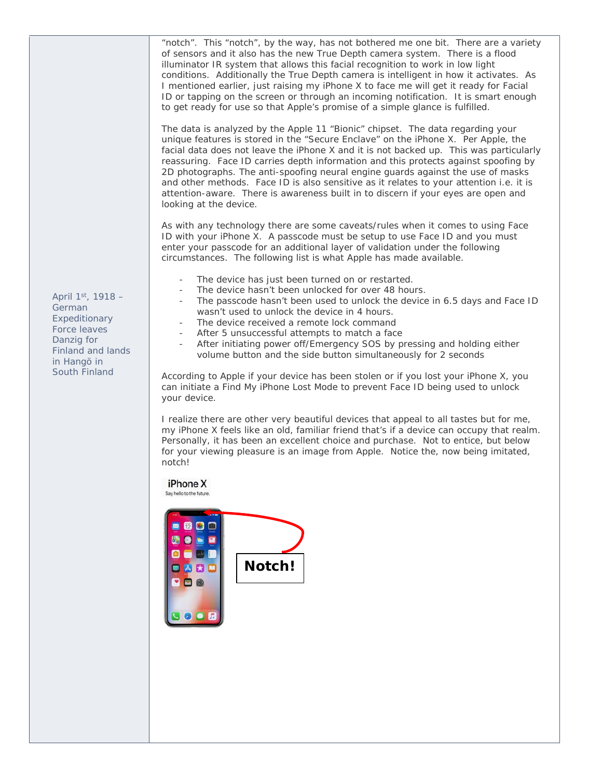"notch". This "notch", by the way, has not bothered me one bit. There are a variety of sensors and it also has the new True Depth camera system. There is a flood illuminator IR system that allows this facial recognition to work in low light conditions. Additionally the True Depth camera is intelligent in how it activates. As I mentioned earlier, just raising my iPhone X to face me will get it ready for Facial ID or tapping on the screen or through an incoming notification. It is smart enough to get ready for use so that Apple's promise of a simple glance is fulfilled.

The data is analyzed by the Apple 11 "Bionic" chipset. The data regarding your unique features is stored in the "Secure Enclave" on the iPhone X. Per Apple, the facial data does not leave the iPhone X and it is not backed up. This was particularly reassuring. Face ID carries depth information and this protects against spoofing by 2D photographs. The anti-spoofing neural engine guards against the use of masks and other methods. Face ID is also sensitive as it relates to your attention i.e. it is attention-aware. There is awareness built in to discern if your eyes are open and looking at the device.

As with any technology there are some caveats/rules when it comes to using Face ID with your iPhone X. A passcode must be setup to use Face ID and you must enter your passcode for an additional layer of validation under the following circumstances. The following list is what Apple has made available.

- The device has just been turned on or restarted.
- The device hasn't been unlocked for over 48 hours.
- The passcode hasn't been used to unlock the device in 6.5 days and Face ID wasn't used to unlock the device in 4 hours.
- The device received a remote lock command
- After 5 unsuccessful attempts to match a face
- After initiating power off/Emergency SOS by pressing and holding either volume button and the side button simultaneously for 2 seconds

According to Apple if your device has been stolen or if you lost your iPhone X, you can initiate a Find My iPhone Lost Mode to prevent Face ID being used to unlock your device.

I realize there are other very beautiful devices that appeal to all tastes but for me, my iPhone X feels like an old, familiar friend that's if a device can occupy that realm. Personally, it has been an excellent choice and purchase. Not to entice, but below for your viewing pleasure is an image from Apple. Notice the, now being imitated, notch!

iPhone X

Say hello to the future.



*April 1st, 1918 – German Expeditionary Force leaves Danzig for Finland and lands in Hangö in South Finland*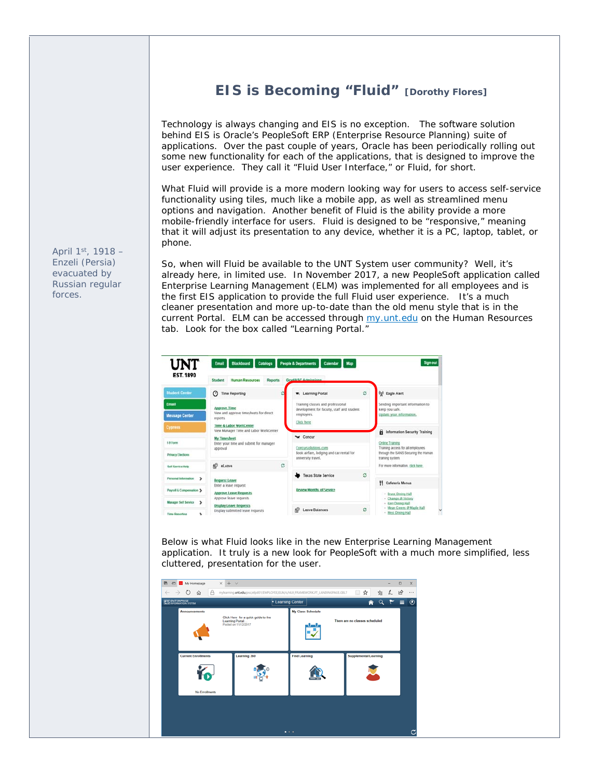# **EIS is Becoming "Fluid" [Dorothy Flores]**

Technology is always changing and EIS is no exception. The software solution behind EIS is Oracle's PeopleSoft ERP (Enterprise Resource Planning) suite of applications. Over the past couple of years, Oracle has been periodically rolling out some new functionality for each of the applications, that is designed to improve the user experience. They call it "Fluid User Interface," or Fluid, for short.

What Fluid will provide is a more modern looking way for users to access self-service functionality using tiles, much like a mobile app, as well as streamlined menu options and navigation. Another benefit of Fluid is the ability provide a more mobile-friendly interface for users. Fluid is designed to be "responsive," meaning that it will adjust its presentation to any device, whether it is a PC, laptop, tablet, or phone.

So, when will Fluid be available to the UNT System user community? Well, it's already here, in limited use. In November 2017, a new PeopleSoft application called Enterprise Learning Management (ELM) was implemented for all employees and is the first EIS application to provide the full Fluid user experience. It's a much cleaner presentation and more up-to-date than the old menu style that is in the current Portal. ELM can be accessed through my.unt.edu on the Human Resources tab. Look for the box called "Learning Portal."

| UNT                                   | <b>Sign out</b><br><b>Blackboard</b><br><b>People &amp; Departments</b><br>Email<br>Calendar<br><b>Cataloos</b><br>Map                                                        |   |                                                                                                   |          |                                                                                                                                                     |
|---------------------------------------|-------------------------------------------------------------------------------------------------------------------------------------------------------------------------------|---|---------------------------------------------------------------------------------------------------|----------|-----------------------------------------------------------------------------------------------------------------------------------------------------|
| <b>EST. 1890</b>                      | <b>Human Resources</b><br><b>Reports</b><br>Student                                                                                                                           |   | Grad/HSC Admissions                                                                               |          |                                                                                                                                                     |
| <b>Student Center</b>                 | $\odot$<br><b>Time Reporting</b>                                                                                                                                              | ö | <b>w</b> ; Learning Portal                                                                        | $\alpha$ | <b>Og0</b> Eagle Alert                                                                                                                              |
| Email                                 | <b>Approve Time</b><br>View and approve timesheets for direct.<br>reports.                                                                                                    |   | Training classes and professional<br>development for faculty, staff and student<br>employees.     |          | Sending important information to<br>keep you safe.<br>Update your information.                                                                      |
| <b>Message Center</b>                 |                                                                                                                                                                               |   |                                                                                                   |          |                                                                                                                                                     |
| <b>Cypress</b>                        | Time & Labor WorkCenter<br>View Manager Time and Labor WorkCenter                                                                                                             |   | Click here                                                                                        |          | Information Security Training                                                                                                                       |
| 1.9 Form                              | <b>My Timesheet</b><br>Enter your time and submit for manager<br>approval                                                                                                     |   | w Concur<br>Concursolutions.com<br>Book airfare, lodging and car rental for<br>university travel. |          | <b>Online Training</b><br>Training access for all employees                                                                                         |
| <b>Privacy Elections</b>              |                                                                                                                                                                               |   |                                                                                                   |          | through the SANS Securing the Human<br>training system.                                                                                             |
| <b>Self Service Help</b>              | eLeave                                                                                                                                                                        | c |                                                                                                   |          | For more information, click here                                                                                                                    |
| Personal Information<br>$\rightarrow$ | <b>Request Leave</b><br>Enter a leave request<br><b>Approve Leave Requests</b><br>Approve leave requests<br><b>Display Leave Requests</b><br>Display submitted leave requests |   | <b>Texas State Service</b>                                                                        | ø        |                                                                                                                                                     |
| Payroll & Compensation 3              |                                                                                                                                                                               |   | <b>Review Months of Service</b><br>ö<br><b>Leave Balances</b>                                     |          | <sup>7</sup> Cafeteria Menus<br>- Bruce Dining Hall<br>- Champs @ Victory<br>- Kerr Dining Hall<br>- Mean Greens @ Maple Hall<br>- West Dining Hall |
| <b>Manager Self Service</b><br>,      |                                                                                                                                                                               |   |                                                                                                   |          |                                                                                                                                                     |
| <b>Time Reporting</b><br>r            |                                                                                                                                                                               |   |                                                                                                   |          |                                                                                                                                                     |

Below is what Fluid looks like in the new Enterprise Learning Management application. It truly is a new look for PeopleSoft with a much more simplified, less cluttered, presentation for the user.



*April 1st, 1918 – Enzeli (Persia) evacuated by Russian regular forces.*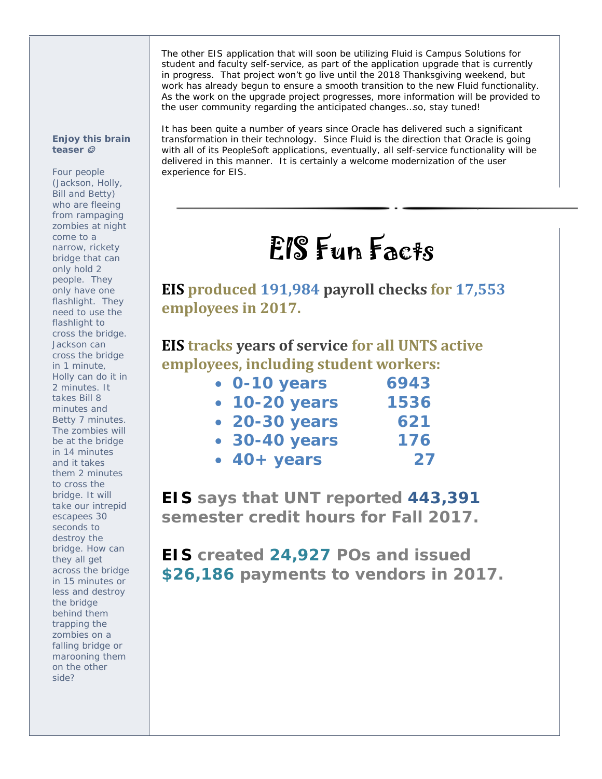The other EIS application that will soon be utilizing Fluid is Campus Solutions for student and faculty self-service, as part of the application upgrade that is currently in progress. That project won't go live until the 2018 Thanksgiving weekend, but work has already begun to ensure a smooth transition to the new Fluid functionality. As the work on the upgrade project progresses, more information will be provided to the user community regarding the anticipated changes…so, stay tuned!

#### *Enjoy this brain teaser*

*Four people (Jackson, Holly, Bill and Betty) who are fleeing from rampaging zombies at night come to a narrow, rickety bridge that can only hold 2 people. They only have one flashlight. They need to use the flashlight to cross the bridge. Jackson can cross the bridge in 1 minute, Holly can do it in 2 minutes. It takes Bill 8 minutes and Betty 7 minutes. The zombies will be at the bridge in 14 minutes and it takes them 2 minutes to cross the bridge. It will take our intrepid escapees 30 seconds to destroy the bridge. How can they all get across the bridge in 15 minutes or less and destroy the bridge behind them trapping the zombies on a falling bridge or marooning them on the other side?*

It has been quite a number of years since Oracle has delivered such a significant transformation in their technology. Since Fluid is the direction that Oracle is going with all of its PeopleSoft applications, eventually, all self-service functionality will be delivered in this manner. It is certainly a welcome modernization of the user experience for EIS.

# EIS Fun Facts

**EIS produced 191,984 payroll checks for 17,553 employees in 2017.**

# **EIS tracks years of service for all UNTS active employees, including student workers:**

| $\bullet$ 0-10 years | 6943 |
|----------------------|------|
| • 10-20 years        | 1536 |
| • 20-30 years        | 621  |
| • 30-40 years        | 176  |
| $\cdot$ 40+ years    | 27   |

**EIS says that UNT reported 443,391 semester credit hours for Fall 2017.** 

**EIS created 24,927 POs and issued \$26,186 payments to vendors in 2017.**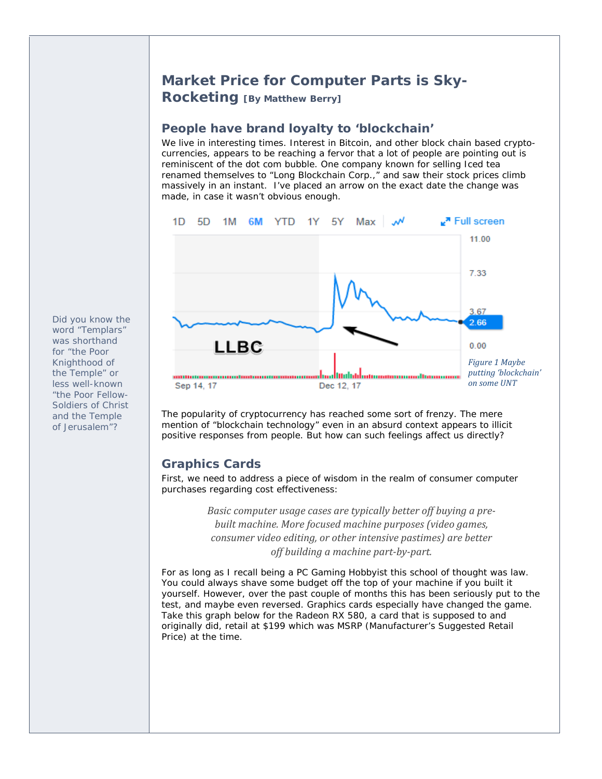### **Market Price for Computer Parts is Sky-Rocketing [By Matthew Berry]**

#### **People have brand loyalty to 'blockchain'**

We live in interesting times. Interest in Bitcoin, and other block chain based cryptocurrencies, appears to be reaching a fervor that a lot of people are pointing out is reminiscent of the dot com bubble. One company known for selling Iced tea renamed themselves to "Long Blockchain Corp.," and saw their stock prices climb massively in an instant. I've placed an arrow on the exact date the change was made, in case it wasn't obvious enough.



The popularity of cryptocurrency has reached some sort of frenzy. The mere mention of "blockchain technology" even in an absurd context appears to illicit positive responses from people. But how can such feelings affect us directly?

#### **Graphics Cards**

First, we need to address a piece of wisdom in the realm of consumer computer purchases regarding cost effectiveness:

> *Basic computer usage cases are typically better off buying a pre‐ built machine. More focused machine purposes (video games, consumer video editing, or other intensive pastimes) are better off building a machine part‐by‐part.*

For as long as I recall being a PC Gaming Hobbyist this school of thought was law. You could always shave some budget off the top of your machine if you built it yourself. However, over the past couple of months this has been seriously put to the test, and maybe even reversed. Graphics cards *especially* have changed the game. Take this graph below for the Radeon RX 580, a card that is supposed to and originally did, retail at \$199 which was MSRP (Manufacturer's Suggested Retail Price) at the time.

*Did you know the word "Templars" was shorthand for "the Poor Knighthood of the Temple" or less well-known "the Poor Fellow-Soldiers of Christ and the Temple of Jerusalem"?*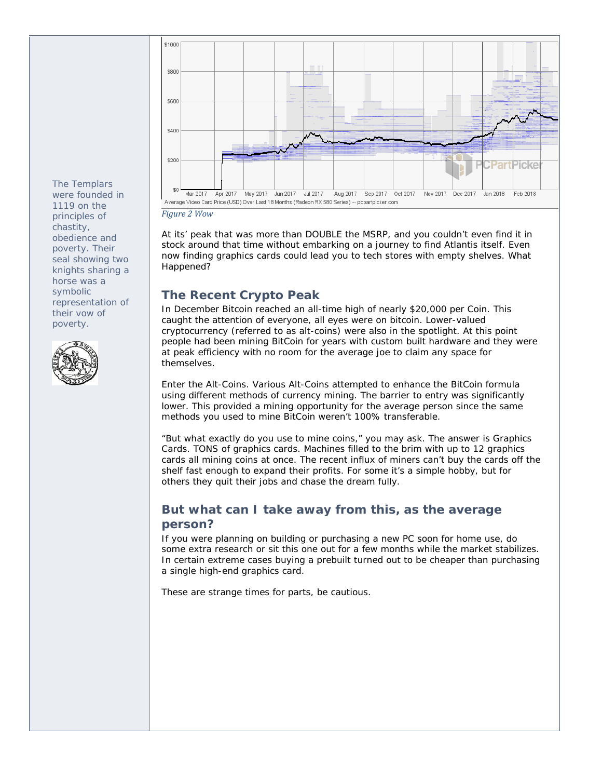*The Templars were founded in 1119 on the principles of chastity, obedience and poverty. Their seal showing two knights sharing a horse was a symbolic representation of their vow of poverty.* 





*Figure 2 Wow*

At its' peak that was more than DOUBLE the MSRP, and you couldn't even find it in stock around that time without embarking on a journey to find Atlantis itself. Even now finding graphics cards could lead you to tech stores with empty shelves. What Happened?

#### **The Recent Crypto Peak**

In December Bitcoin reached an all-time high of nearly \$20,000 per Coin. This caught the attention of everyone, all eyes were on bitcoin. Lower-valued cryptocurrency (referred to as alt-coins) were also in the spotlight. At this point people had been mining BitCoin for years with custom built hardware and they were at peak efficiency with no room for the average joe to claim any space for themselves.

Enter the Alt-Coins. Various Alt-Coins attempted to enhance the BitCoin formula using different methods of currency mining. The barrier to entry was significantly lower. This provided a mining opportunity for the average person since the same methods you used to mine BitCoin weren't 100% transferable.

"But what exactly do you use to mine coins," you may ask. The answer is Graphics Cards. TONS of graphics cards. Machines filled to the brim with up to 12 graphics cards all mining coins at once. The recent influx of miners can't buy the cards off the shelf fast enough to expand their profits. For some it's a simple hobby, but for others they quit their jobs and chase the dream fully.

#### **But what can I take away from this, as the average person?**

If you were planning on building or purchasing a new PC soon for home use, do some extra research or sit this one out for a few months while the market stabilizes. In certain extreme cases buying a prebuilt turned out to be cheaper than purchasing a single high-end graphics card.

These are strange times for parts, be cautious.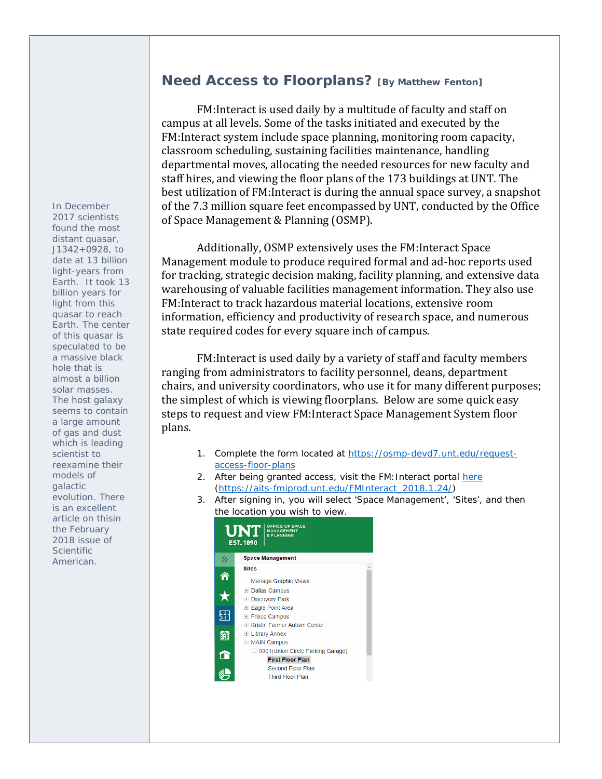*In December 2017 scientists found the most distant quasar, J1342+0928, to date at 13 billion light-years from Earth. It took 13 billion years for light from this quasar to reach Earth. The center of this quasar is speculated to be a massive black hole that is almost a billion solar masses. The host galaxy seems to contain a large amount of gas and dust which is leading scientist to reexamine their models of galactic evolution. There is an excellent article on thisin the February 2018 issue of Scientific American.* 

# **Need Access to Floorplans? [By Matthew Fenton]**

FM: Interact is used daily by a multitude of faculty and staff on campus at all levels. Some of the tasks initiated and executed by the FM: Interact system include space planning, monitoring room capacity, classroom scheduling, sustaining facilities maintenance, handling departmental moves, allocating the needed resources for new faculty and staff hires, and viewing the floor plans of the 173 buildings at UNT. The best utilization of FM: Interact is during the annual space survey, a snapshot of the 7.3 million square feet encompassed by UNT, conducted by the Office of Space Management & Planning (OSMP).

Additionally, OSMP extensively uses the FM: Interact Space Management module to produce required formal and ad-hoc reports used for tracking, strategic decision making, facility planning, and extensive data warehousing of valuable facilities management information. They also use FM: Interact to track hazardous material locations, extensive room information, efficiency and productivity of research space, and numerous state required codes for every square inch of campus.

FM: Interact is used daily by a variety of staff and faculty members ranging from administrators to facility personnel, deans, department chairs, and university coordinators, who use it for many different purposes; the simplest of which is viewing floorplans. Below are some quick easy steps to request and view FM: Interact Space Management System floor plans. 

- 1. Complete the form located at https://osmp-devd7.unt.edu/requestaccess-floor-plans
- 2. After being granted access, visit the FM: Interact portal here (https://aits-fmiprod.unt.edu/FMInteract\_2018.1.24/)
- 3. After signing in, you will select 'Space Management', 'Sites', and then the location you wish to view.

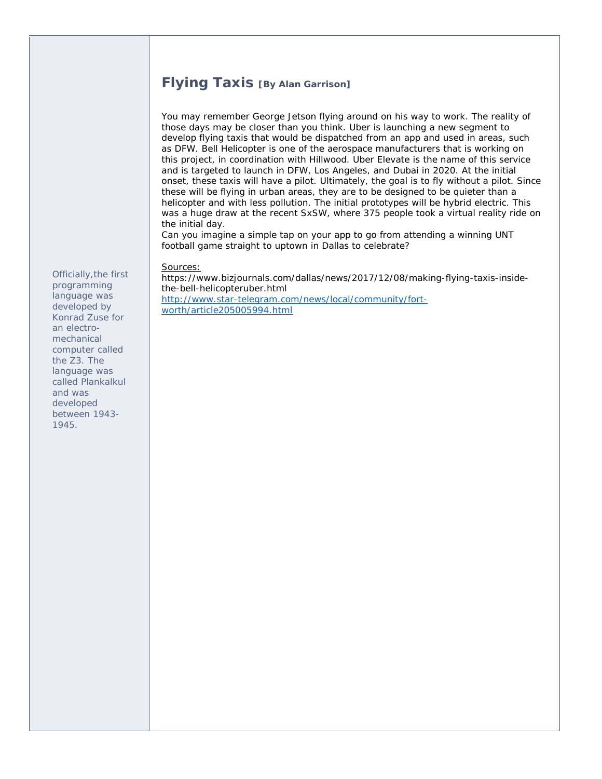#### **Flying Taxis [By Alan Garrison]**

You may remember George Jetson flying around on his way to work. The reality of those days may be closer than you think. Uber is launching a new segment to develop flying taxis that would be dispatched from an app and used in areas, such as DFW. Bell Helicopter is one of the aerospace manufacturers that is working on this project, in coordination with Hillwood. Uber Elevate is the name of this service and is targeted to launch in DFW, Los Angeles, and Dubai in 2020. At the initial onset, these taxis will have a pilot. Ultimately, the goal is to fly without a pilot. Since these will be flying in urban areas, they are to be designed to be quieter than a helicopter and with less pollution. The initial prototypes will be hybrid electric. This was a huge draw at the recent SxSW, where 375 people took a virtual reality ride on the initial day.

Can you imagine a simple tap on your app to go from attending a winning UNT football game straight to uptown in Dallas to celebrate?

Sources:

https://www.bizjournals.com/dallas/news/2017/12/08/making-flying-taxis-insidethe-bell-helicopteruber.html http://www.star-telegram.com/news/local/community/fortworth/article205005994.html

*Officially,the first programming language was developed by Konrad Zuse for an electromechanical computer called the Z3. The language was called Plankalkul and was developed between 1943- 1945.*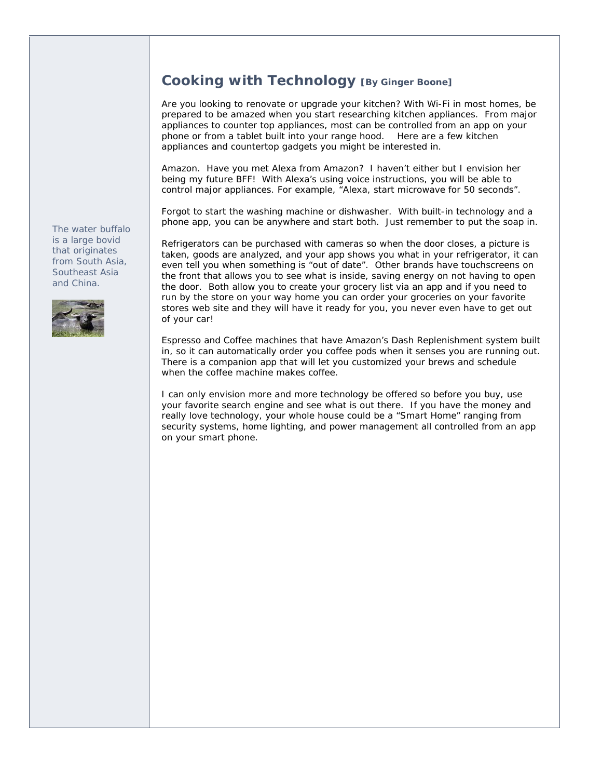#### **Cooking with Technology [By Ginger Boone]**

Are you looking to renovate or upgrade your kitchen? With Wi-Fi in most homes, be prepared to be amazed when you start researching kitchen appliances. From major appliances to counter top appliances, most can be controlled from an app on your phone or from a tablet built into your range hood. Here are a few kitchen appliances and countertop gadgets you might be interested in.

Amazon. Have you met Alexa from Amazon? I haven't either but I envision her being my future BFF! With Alexa's using voice instructions, you will be able to control major appliances. For example, "Alexa, start microwave for 50 seconds".

Forgot to start the washing machine or dishwasher. With built-in technology and a phone app, you can be anywhere and start both. Just remember to put the soap in.

Refrigerators can be purchased with cameras so when the door closes, a picture is taken, goods are analyzed, and your app shows you what in your refrigerator, it can even tell you when something is "out of date". Other brands have touchscreens on the front that allows you to see what is inside, saving energy on not having to open the door. Both allow you to create your grocery list via an app and if you need to run by the store on your way home you can order your groceries on your favorite stores web site and they will have it ready for you, you never even have to get out of your car!

Espresso and Coffee machines that have Amazon's Dash Replenishment system built in, so it can automatically order you coffee pods when it senses you are running out. There is a companion app that will let you customized your brews and schedule when the coffee machine makes coffee.

I can only envision more and more technology be offered so before you buy, use your favorite search engine and see what is out there. If you have the money and really love technology, your whole house could be a "Smart Home" ranging from security systems, home lighting, and power management all controlled from an app on your smart phone.

*The water buffalo is a large bovid that originates from South Asia, Southeast Asia and China.* 

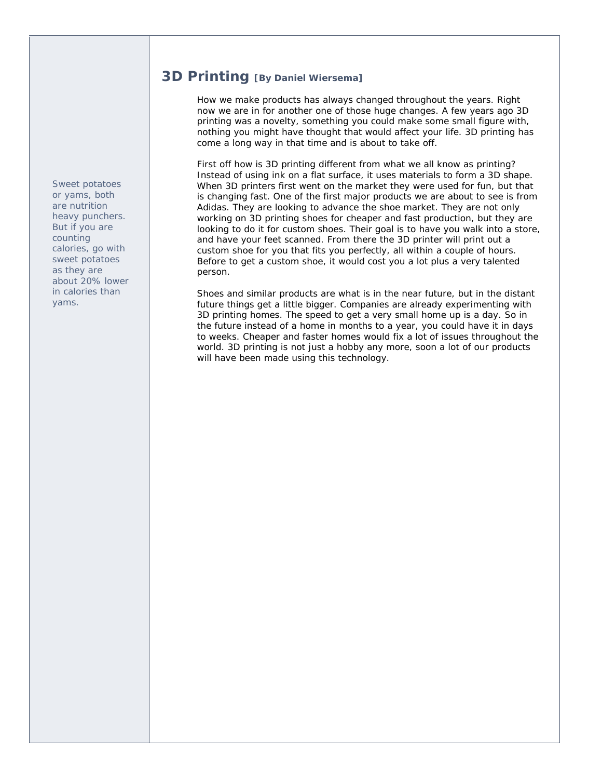**3D Printing [By Daniel Wiersema]**

How we make products has always changed throughout the years. Right now we are in for another one of those huge changes. A few years ago 3D printing was a novelty, something you could make some small figure with, nothing you might have thought that would affect your life. 3D printing has come a long way in that time and is about to take off.

First off how is 3D printing different from what we all know as printing? Instead of using ink on a flat surface, it uses materials to form a 3D shape. When 3D printers first went on the market they were used for fun, but that is changing fast. One of the first major products we are about to see is from Adidas. They are looking to advance the shoe market. They are not only working on 3D printing shoes for cheaper and fast production, but they are looking to do it for custom shoes. Their goal is to have you walk into a store, and have your feet scanned. From there the 3D printer will print out a custom shoe for you that fits you perfectly, all within a couple of hours. Before to get a custom shoe, it would cost you a lot plus a very talented person.

Shoes and similar products are what is in the near future, but in the distant future things get a little bigger. Companies are already experimenting with 3D printing homes. The speed to get a very small home up is a day. So in the future instead of a home in months to a year, you could have it in days to weeks. Cheaper and faster homes would fix a lot of issues throughout the world. 3D printing is not just a hobby any more, soon a lot of our products will have been made using this technology.

*Sweet potatoes or yams, both are nutrition heavy punchers. But if you are counting calories, go with sweet potatoes as they are about 20% lower in calories than yams.*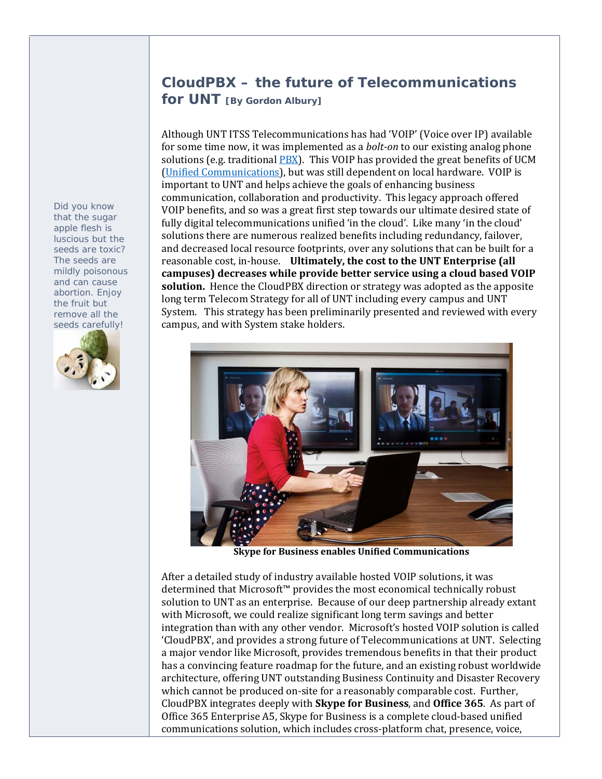# **CloudPBX – the future of Telecommunications for UNT [By Gordon Albury]**

Although UNT ITSS Telecommunications has had 'VOIP' (Voice over IP) available for some time now, it was implemented as a *bolt-on* to our existing analog phone solutions (e.g. traditional  $PBX$ ). This VOIP has provided the great benefits of UCM (Unified Communications), but was still dependent on local hardware. VOIP is important to UNT and helps achieve the goals of enhancing business communication, collaboration and productivity. This legacy approach offered VOIP benefits, and so was a great first step towards our ultimate desired state of fully digital telecommunications unified 'in the cloud'. Like many 'in the cloud' solutions there are numerous realized benefits including redundancy, failover, and decreased local resource footprints, over any solutions that can be built for a reasonable cost, in‐house. **Ultimately, the cost to the UNT Enterprise (all campuses) decreases while provide better service using a cloud based VOIP** solution. Hence the CloudPBX direction or strategy was adopted as the apposite long term Telecom Strategy for all of UNT including every campus and UNT System. This strategy has been preliminarily presented and reviewed with every campus, and with System stake holders.



**Skype for Business enables Unified Communications**

After a detailed study of industry available hosted VOIP solutions, it was determined that Microsoft<sup>™</sup> provides the most economical technically robust solution to UNT as an enterprise. Because of our deep partnership already extant with Microsoft, we could realize significant long term savings and better integration than with any other vendor. Microsoft's hosted VOIP solution is called 'CloudPBX', and provides a strong future of Telecommunications at UNT. Selecting a major vendor like Microsoft, provides tremendous benefits in that their product has a convincing feature roadmap for the future, and an existing robust worldwide architecture, offering UNT outstanding Business Continuity and Disaster Recovery which cannot be produced on-site for a reasonably comparable cost. Further, CloudPBX integrates deeply with **Skype for Business**, and **Office 365**. As part of Office 365 Enterprise A5, Skype for Business is a complete cloud-based unified communications solution, which includes cross-platform chat, presence, voice,

*Did you know that the sugar apple flesh is luscious but the seeds are toxic? The seeds are mildly poisonous and can cause abortion. Enjoy the fruit but remove all the seeds carefully!*

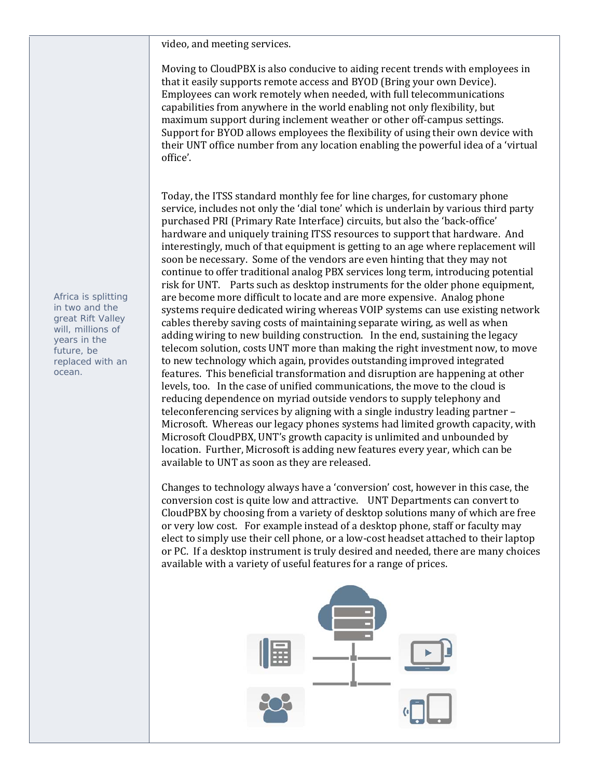video, and meeting services.

Moving to CloudPBX is also conducive to aiding recent trends with employees in that it easily supports remote access and BYOD (Bring your own Device). Employees can work remotely when needed, with full telecommunications capabilities from anywhere in the world enabling not only flexibility, but maximum support during inclement weather or other off-campus settings. Support for BYOD allows employees the flexibility of using their own device with their UNT office number from any location enabling the powerful idea of a 'virtual office'. 

Today, the ITSS standard monthly fee for line charges, for customary phone service, includes not only the 'dial tone' which is underlain by various third party purchased PRI (Primary Rate Interface) circuits, but also the 'back-office' hardware and uniquely training ITSS resources to support that hardware. And interestingly, much of that equipment is getting to an age where replacement will soon be necessary. Some of the vendors are even hinting that they may not continue to offer traditional analog PBX services long term, introducing potential risk for UNT. Parts such as desktop instruments for the older phone equipment, are become more difficult to locate and are more expensive. Analog phone systems require dedicated wiring whereas VOIP systems can use existing network cables thereby saving costs of maintaining separate wiring, as well as when adding wiring to new building construction. In the end, sustaining the legacy telecom solution, costs UNT more than making the right investment now, to move to new technology which again, provides outstanding improved integrated features. This beneficial transformation and disruption are happening at other levels, too. In the case of unified communications, the move to the cloud is reducing dependence on myriad outside vendors to supply telephony and teleconferencing services by aligning with a single industry leading partner -Microsoft. Whereas our legacy phones systems had limited growth capacity, with Microsoft CloudPBX, UNT's growth capacity is unlimited and unbounded by location. Further, Microsoft is adding new features every year, which can be available to UNT as soon as they are released.

Changes to technology always have a 'conversion' cost, however in this case, the conversion cost is quite low and attractive. UNT Departments can convert to CloudPBX by choosing from a variety of desktop solutions many of which are free or very low cost. For example instead of a desktop phone, staff or faculty may elect to simply use their cell phone, or a low-cost headset attached to their laptop or PC. If a desktop instrument is truly desired and needed, there are many choices available with a variety of useful features for a range of prices.



*Africa is splitting in two and the great Rift Valley will, millions of years in the future, be replaced with an ocean.*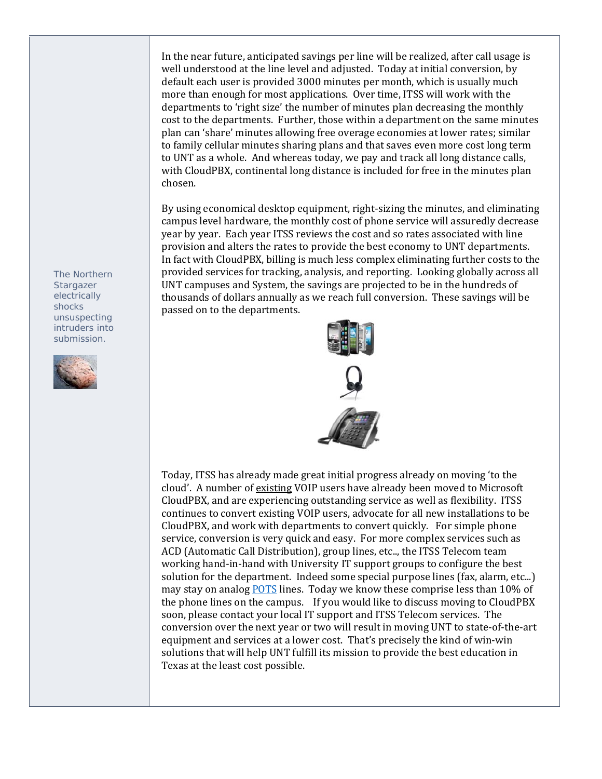In the near future, anticipated savings per line will be realized, after call usage is well understood at the line level and adjusted. Today at initial conversion, by default each user is provided 3000 minutes per month, which is usually much more than enough for most applications. Over time, ITSS will work with the departments to 'right size' the number of minutes plan decreasing the monthly cost to the departments. Further, those within a department on the same minutes plan can 'share' minutes allowing free overage economies at lower rates; similar to family cellular minutes sharing plans and that saves even more cost long term to UNT as a whole. And whereas today, we pay and track all long distance calls, with CloudPBX, continental long distance is included for free in the minutes plan chosen. 

By using economical desktop equipment, right-sizing the minutes, and eliminating campus level hardware, the monthly cost of phone service will assuredly decrease year by year. Each year ITSS reviews the cost and so rates associated with line provision and alters the rates to provide the best economy to UNT departments. In fact with CloudPBX, billing is much less complex eliminating further costs to the provided services for tracking, analysis, and reporting. Looking globally across all UNT campuses and System, the savings are projected to be in the hundreds of thousands of dollars annually as we reach full conversion. These savings will be passed on to the departments.



Today, ITSS has already made great initial progress already on moving 'to the cloud'. A number of existing VOIP users have already been moved to Microsoft CloudPBX, and are experiencing outstanding service as well as flexibility. ITSS continues to convert existing VOIP users, advocate for all new installations to be CloudPBX, and work with departments to convert quickly. For simple phone service, conversion is very quick and easy. For more complex services such as ACD (Automatic Call Distribution), group lines, etc.., the ITSS Telecom team working hand-in-hand with University IT support groups to configure the best solution for the department. Indeed some special purpose lines (fax, alarm, etc...) may stay on analog **POTS** lines. Today we know these comprise less than 10% of the phone lines on the campus. If you would like to discuss moving to CloudPBX soon, please contact your local IT support and ITSS Telecom services. The conversion over the next year or two will result in moving UNT to state-of-the-art equipment and services at a lower cost. That's precisely the kind of win-win solutions that will help UNT fulfill its mission to provide the best education in Texas at the least cost possible.

*The Northern Stargazer electrically shocks unsuspecting intruders into submission.* 

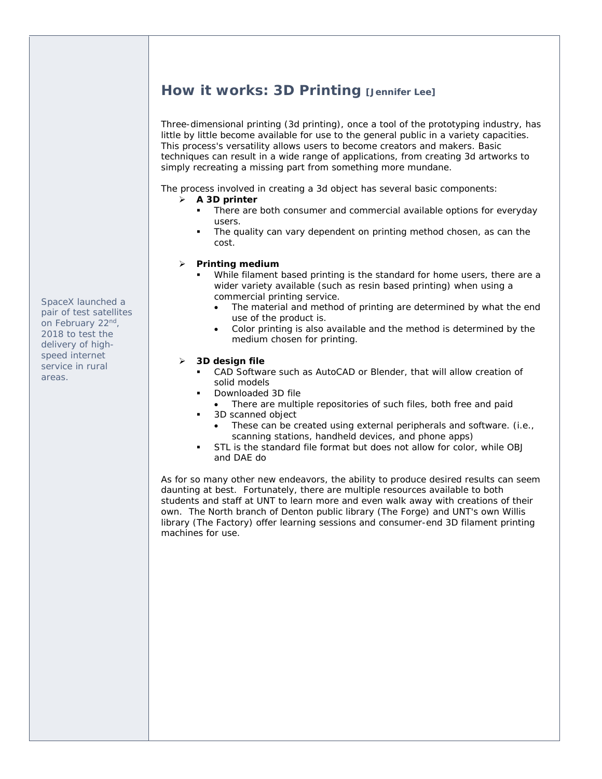# **How it works: 3D Printing [Jennifer Lee]**

Three-dimensional printing (3d printing), once a tool of the prototyping industry, has little by little become available for use to the general public in a variety capacities. This process's versatility allows users to become creators and makers. Basic techniques can result in a wide range of applications, from creating 3d artworks to simply recreating a missing part from something more mundane.

The process involved in creating a 3d object has several basic components:

#### **A 3D printer**

- There are both consumer and commercial available options for everyday users.
- The quality can vary dependent on printing method chosen, as can the cost.

#### **Printing medium**

- While filament based printing is the standard for home users, there are a wider variety available (such as resin based printing) when using a commercial printing service.
	- The material and method of printing are determined by what the end use of the product is.
	- Color printing is also available and the method is determined by the medium chosen for printing.

#### **3D design file**

- CAD Software such as AutoCAD or Blender, that will allow creation of solid models
- Downloaded 3D file
- There are multiple repositories of such files, both free and paid
- **3D scanned object** 
	- These can be created using external peripherals and software. (i.e., scanning stations, handheld devices, and phone apps)
- STL is the standard file format but does not allow for color, while OBJ and DAE do

As for so many other new endeavors, the ability to produce desired results can seem daunting at best. Fortunately, there are multiple resources available to both students and staff at UNT to learn more and even walk away with creations of their own. The North branch of Denton public library (The Forge) and UNT's own Willis library (The Factory) offer learning sessions and consumer-end 3D filament printing machines for use.

*SpaceX launched a pair of test satellites on February 22nd, 2018 to test the delivery of highspeed internet service in rural areas.*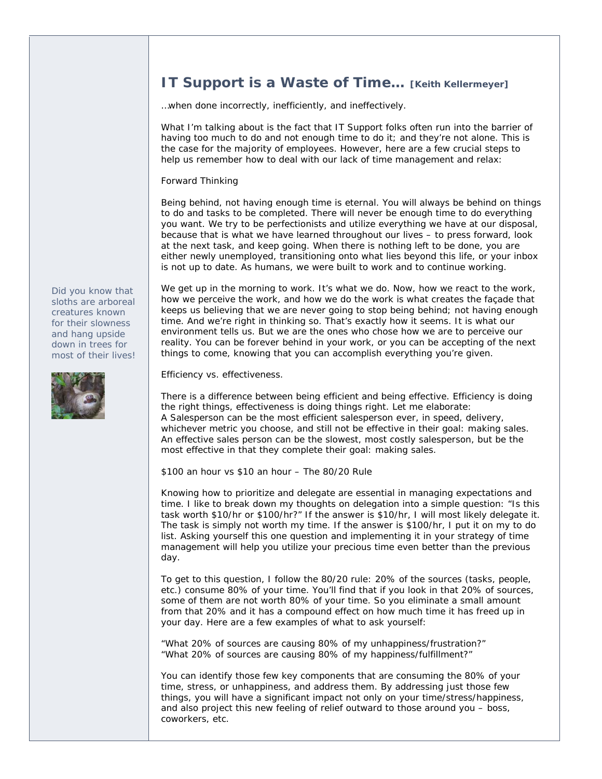### **IT Support is a Waste of Time… [Keith Kellermeyer]**

…when done incorrectly, inefficiently, and ineffectively.

What I'm talking about is the fact that IT Support folks often run into the barrier of having too much to do and not enough time to do it; and they're not alone. This is the case for the majority of employees. However, here are a few crucial steps to help us remember how to deal with our lack of time management and relax:

Forward Thinking

Being behind, not having enough time is eternal. You will always be behind on things to do and tasks to be completed. There will never be enough time to do everything you want. We try to be perfectionists and utilize everything we have at our disposal, because that is what we have learned throughout our lives – to press forward, look at the next task, and keep going. When there is nothing left to be done, you are either newly unemployed, transitioning onto what lies beyond this life, or your inbox is not up to date. As humans, we were built to work and to continue working.

*Did you know that sloths are arboreal creatures known for their slowness and hang upside down in trees for most of their lives!* 



We get up in the morning to work. It's what we do. Now, how we react to the work, how we perceive the work, and how we do the work is what creates the façade that keeps us believing that we are never going to stop being behind; not having enough time. And we're right in thinking so. That's exactly how it seems. It is what our environment tells us. But we are the ones who chose how we are to perceive our reality. You can be forever behind in your work, or you can be accepting of the next things to come, knowing that you can accomplish everything you're given.

Efficiency vs. effectiveness.

There is a difference between being efficient and being effective. Efficiency is doing the right things, effectiveness is doing things right. Let me elaborate: A Salesperson can be the most efficient salesperson ever, in speed, delivery, whichever metric you choose, and still not be effective in their goal: making sales. An effective sales person can be the slowest, most costly salesperson, but be the most effective in that they complete their goal: making sales.

\$100 an hour vs \$10 an hour – The 80/20 Rule

Knowing how to prioritize and delegate are essential in managing expectations and time. I like to break down my thoughts on delegation into a simple question: "Is this task worth \$10/hr or \$100/hr?" If the answer is \$10/hr, I will most likely delegate it. The task is simply not worth my time. If the answer is \$100/hr, I put it on my to do list. Asking yourself this one question and implementing it in your strategy of time management will help you utilize your precious time even better than the previous day.

To get to this question, I follow the 80/20 rule: 20% of the sources (tasks, people, etc.) consume 80% of your time. You'll find that if you look in that 20% of sources, some of them are not worth 80% of your time. So you eliminate a small amount from that 20% and it has a compound effect on how much time it has freed up in your day. Here are a few examples of what to ask yourself:

"What 20% of sources are causing 80% of my unhappiness/frustration?" "What 20% of sources are causing 80% of my happiness/fulfillment?"

You can identify those few key components that are consuming the 80% of your time, stress, or unhappiness, and address them. By addressing just those few things, you will have a significant impact not only on your time/stress/happiness, and also project this new feeling of relief outward to those around you – boss, coworkers, etc.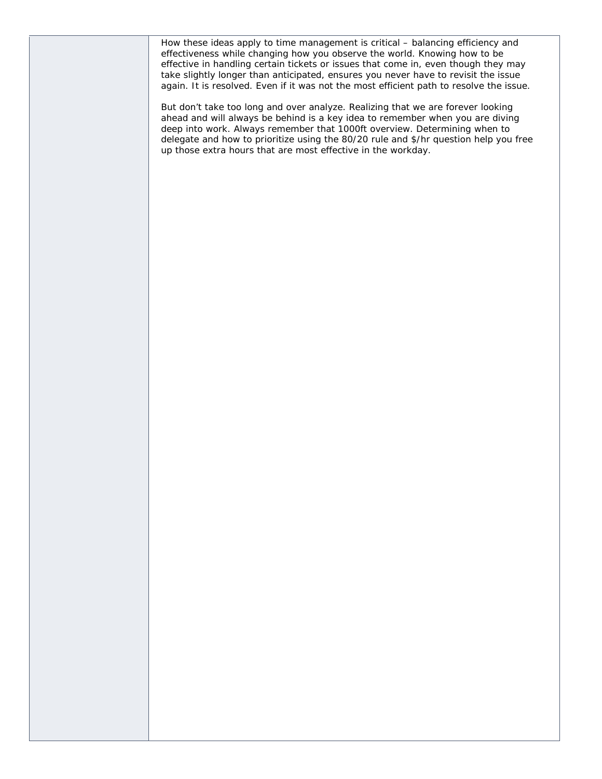How these ideas apply to time management is critical – balancing efficiency and effectiveness while changing how you observe the world. Knowing how to be effective in handling certain tickets or issues that come in, even though they may take slightly longer than anticipated, ensures you never have to revisit the issue again. It is resolved. Even if it was not the most efficient path to resolve the issue.

But don't take too long and over analyze. Realizing that we are forever looking ahead and will always be behind is a key idea to remember when you are diving deep into work. Always remember that 1000ft overview. Determining when to delegate and how to prioritize using the 80/20 rule and \$/hr question help you free up those extra hours that are most effective in the workday.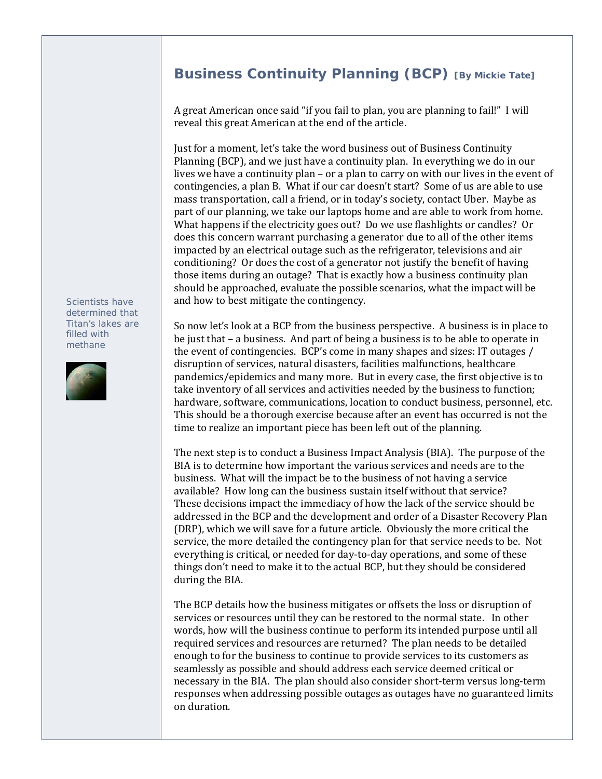# **Business Continuity Planning (BCP)** [By Mickie Tate]

A great American once said "if you fail to plan, you are planning to fail!" I will reveal this great American at the end of the article.

Just for a moment, let's take the word business out of Business Continuity Planning (BCP), and we just have a continuity plan. In everything we do in our lives we have a continuity  $plan - or a plan to carry on with our lives in the event of$ contingencies, a plan B. What if our car doesn't start? Some of us are able to use mass transportation, call a friend, or in today's society, contact Uber. Maybe as part of our planning, we take our laptops home and are able to work from home. What happens if the electricity goes out? Do we use flashlights or candles? Or does this concern warrant purchasing a generator due to all of the other items impacted by an electrical outage such as the refrigerator, televisions and air conditioning? Or does the cost of a generator not justify the benefit of having those items during an outage? That is exactly how a business continuity plan should be approached, evaluate the possible scenarios, what the impact will be and how to best mitigate the contingency.

So now let's look at a BCP from the business perspective. A business is in place to be just that  $-$  a business. And part of being a business is to be able to operate in the event of contingencies. BCP's come in many shapes and sizes: IT outages / disruption of services, natural disasters, facilities malfunctions, healthcare pandemics/epidemics and many more. But in every case, the first objective is to take inventory of all services and activities needed by the business to function; hardware, software, communications, location to conduct business, personnel, etc. This should be a thorough exercise because after an event has occurred is not the time to realize an important piece has been left out of the planning.

The next step is to conduct a Business Impact Analysis (BIA). The purpose of the BIA is to determine how important the various services and needs are to the business. What will the impact be to the business of not having a service available? How long can the business sustain itself without that service? These decisions impact the immediacy of how the lack of the service should be addressed in the BCP and the development and order of a Disaster Recovery Plan (DRP), which we will save for a future article. Obviously the more critical the service, the more detailed the contingency plan for that service needs to be. Not everything is critical, or needed for day-to-day operations, and some of these things don't need to make it to the actual BCP, but they should be considered during the BIA.

The BCP details how the business mitigates or offsets the loss or disruption of services or resources until they can be restored to the normal state. In other words, how will the business continue to perform its intended purpose until all required services and resources are returned? The plan needs to be detailed enough to for the business to continue to provide services to its customers as seamlessly as possible and should address each service deemed critical or necessary in the BIA. The plan should also consider short-term versus long-term responses when addressing possible outages as outages have no guaranteed limits on duration.

*Scientists have determined that Titan's lakes are filled with methane* 

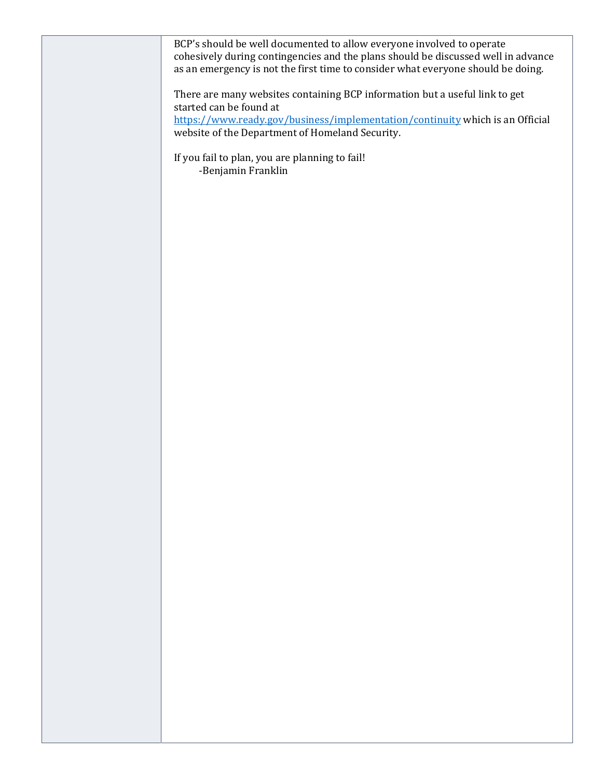| BCP's should be well documented to allow everyone involved to operate<br>cohesively during contingencies and the plans should be discussed well in advance<br>as an emergency is not the first time to consider what everyone should be doing. |
|------------------------------------------------------------------------------------------------------------------------------------------------------------------------------------------------------------------------------------------------|
| There are many websites containing BCP information but a useful link to get<br>started can be found at                                                                                                                                         |
| https://www.ready.gov/business/implementation/continuity which is an Official<br>website of the Department of Homeland Security.                                                                                                               |
| If you fail to plan, you are planning to fail!<br>-Benjamin Franklin                                                                                                                                                                           |
|                                                                                                                                                                                                                                                |
|                                                                                                                                                                                                                                                |
|                                                                                                                                                                                                                                                |
|                                                                                                                                                                                                                                                |
|                                                                                                                                                                                                                                                |
|                                                                                                                                                                                                                                                |
|                                                                                                                                                                                                                                                |
|                                                                                                                                                                                                                                                |
|                                                                                                                                                                                                                                                |
|                                                                                                                                                                                                                                                |
|                                                                                                                                                                                                                                                |
|                                                                                                                                                                                                                                                |
|                                                                                                                                                                                                                                                |
|                                                                                                                                                                                                                                                |
|                                                                                                                                                                                                                                                |
|                                                                                                                                                                                                                                                |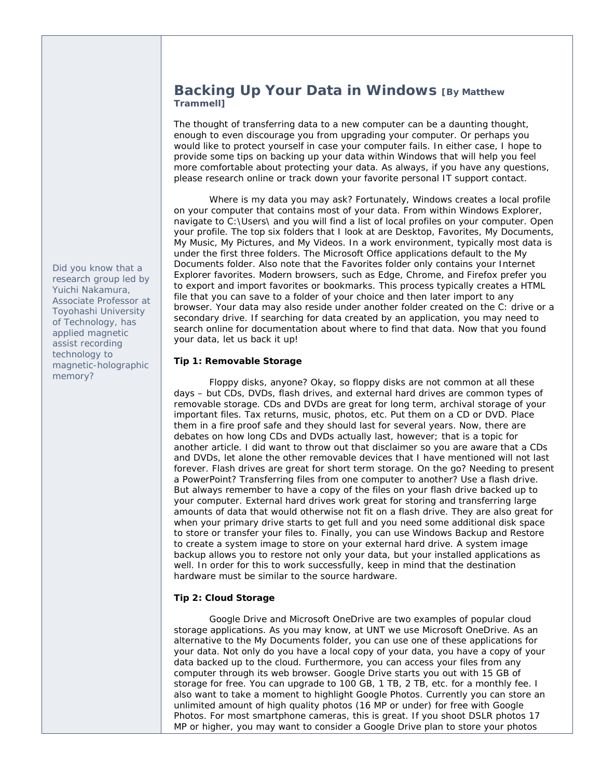#### **Backing Up Your Data in Windows [By Matthew Trammell]**

The thought of transferring data to a new computer can be a daunting thought, enough to even discourage you from upgrading your computer. Or perhaps you would like to protect yourself in case your computer fails. In either case, I hope to provide some tips on backing up your data within Windows that will help you feel more comfortable about protecting your data. As always, if you have any questions, please research online or track down your favorite personal IT support contact.

Where is my data you may ask? Fortunately, Windows creates a local profile on your computer that contains most of your data. From within Windows Explorer, navigate to C:\Users\ and you will find a list of local profiles on your computer. Open your profile. The top six folders that I look at are Desktop, Favorites, My Documents, My Music, My Pictures, and My Videos. In a work environment, typically most data is under the first three folders. The Microsoft Office applications default to the My Documents folder. Also note that the Favorites folder only contains your Internet Explorer favorites. Modern browsers, such as Edge, Chrome, and Firefox prefer you to export and import favorites or bookmarks. This process typically creates a HTML file that you can save to a folder of your choice and then later import to any browser. Your data may also reside under another folder created on the C: drive or a secondary drive. If searching for data created by an application, you may need to search online for documentation about where to find that data. Now that you found your data, let us back it up!

#### **Tip 1: Removable Storage**

 Floppy disks, anyone? Okay, so floppy disks are not common at all these days – but CDs, DVDs, flash drives, and external hard drives are common types of removable storage. CDs and DVDs are great for long term, archival storage of your important files. Tax returns, music, photos, etc. Put them on a CD or DVD. Place them in a fire proof safe and they should last for several years. Now, there are debates on how long CDs and DVDs actually last, however; that is a topic for another article. I did want to throw out that disclaimer so you are aware that a CDs and DVDs, let alone the other removable devices that I have mentioned will not last forever. Flash drives are great for short term storage. On the go? Needing to present a PowerPoint? Transferring files from one computer to another? Use a flash drive. But always remember to have a copy of the files on your flash drive backed up to your computer. External hard drives work great for storing and transferring large amounts of data that would otherwise not fit on a flash drive. They are also great for when your primary drive starts to get full and you need some additional disk space to store or transfer your files to. Finally, you can use Windows Backup and Restore to create a system image to store on your external hard drive. A system image backup allows you to restore not only your data, but your installed applications as well. In order for this to work successfully, keep in mind that the destination hardware must be similar to the source hardware.

#### **Tip 2: Cloud Storage**

 Google Drive and Microsoft OneDrive are two examples of popular cloud storage applications. As you may know, at UNT we use Microsoft OneDrive. As an alternative to the My Documents folder, you can use one of these applications for your data. Not only do you have a local copy of your data, you have a copy of your data backed up to the cloud. Furthermore, you can access your files from any computer through its web browser. Google Drive starts you out with 15 GB of storage for free. You can upgrade to 100 GB, 1 TB, 2 TB, etc. for a monthly fee. I also want to take a moment to highlight Google Photos. Currently you can store an unlimited amount of high quality photos (16 MP or under) for free with Google Photos. For most smartphone cameras, this is great. If you shoot DSLR photos 17 MP or higher, you may want to consider a Google Drive plan to store your photos

*Did you know that a research group led by Yuichi Nakamura, Associate Professor at Toyohashi University of Technology, has applied magnetic assist recording technology to magnetic-holographic memory?*